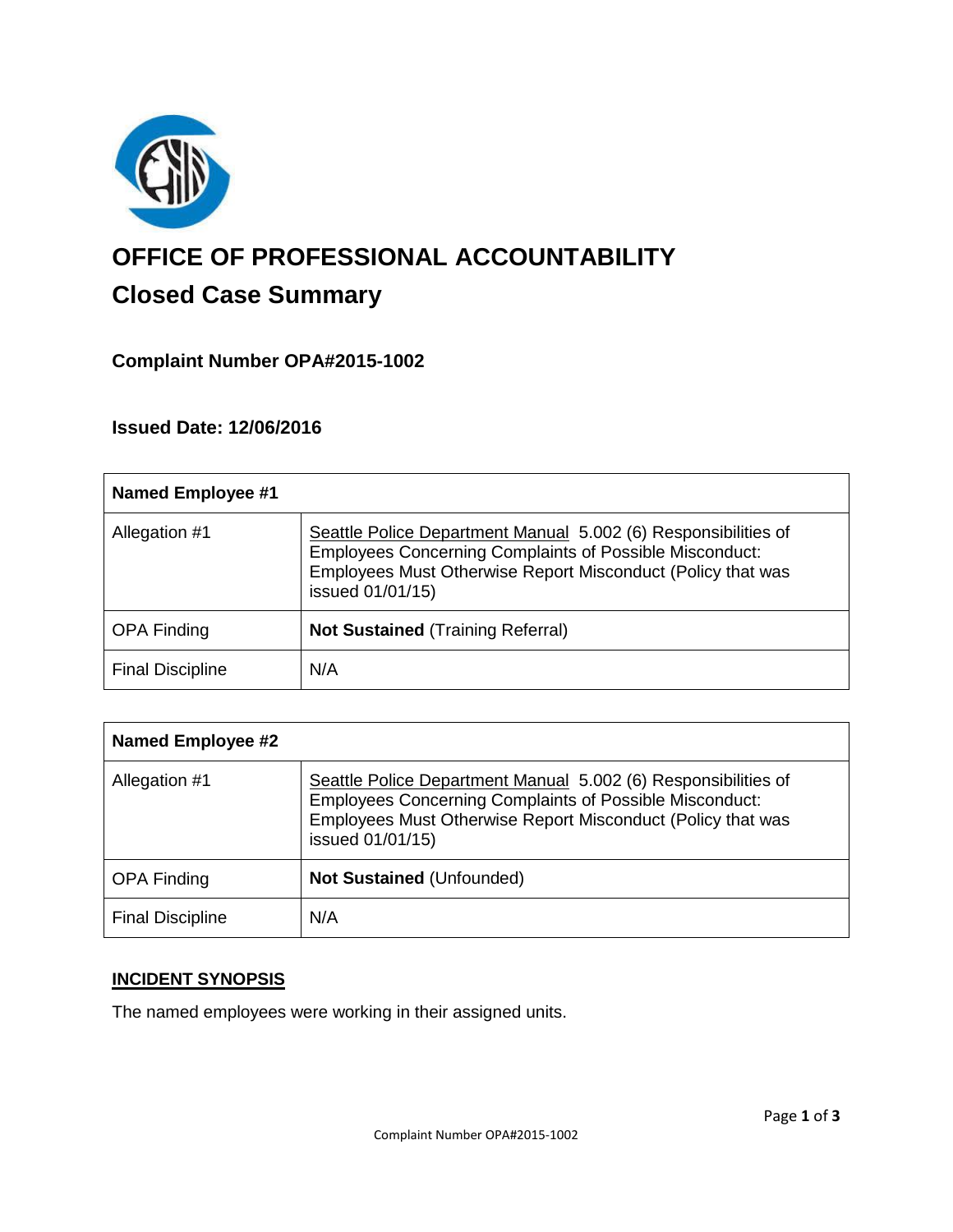

# **OFFICE OF PROFESSIONAL ACCOUNTABILITY Closed Case Summary**

## **Complaint Number OPA#2015-1002**

**Issued Date: 12/06/2016**

| <b>Named Employee #1</b> |                                                                                                                                                                                                                     |
|--------------------------|---------------------------------------------------------------------------------------------------------------------------------------------------------------------------------------------------------------------|
| Allegation #1            | Seattle Police Department Manual 5.002 (6) Responsibilities of<br><b>Employees Concerning Complaints of Possible Misconduct:</b><br>Employees Must Otherwise Report Misconduct (Policy that was<br>issued 01/01/15) |
| <b>OPA Finding</b>       | <b>Not Sustained (Training Referral)</b>                                                                                                                                                                            |
| <b>Final Discipline</b>  | N/A                                                                                                                                                                                                                 |

| <b>Named Employee #2</b> |                                                                                                                                                                                                                     |
|--------------------------|---------------------------------------------------------------------------------------------------------------------------------------------------------------------------------------------------------------------|
| Allegation #1            | Seattle Police Department Manual 5.002 (6) Responsibilities of<br><b>Employees Concerning Complaints of Possible Misconduct:</b><br>Employees Must Otherwise Report Misconduct (Policy that was<br>issued 01/01/15) |
| <b>OPA Finding</b>       | <b>Not Sustained (Unfounded)</b>                                                                                                                                                                                    |
| <b>Final Discipline</b>  | N/A                                                                                                                                                                                                                 |

## **INCIDENT SYNOPSIS**

The named employees were working in their assigned units.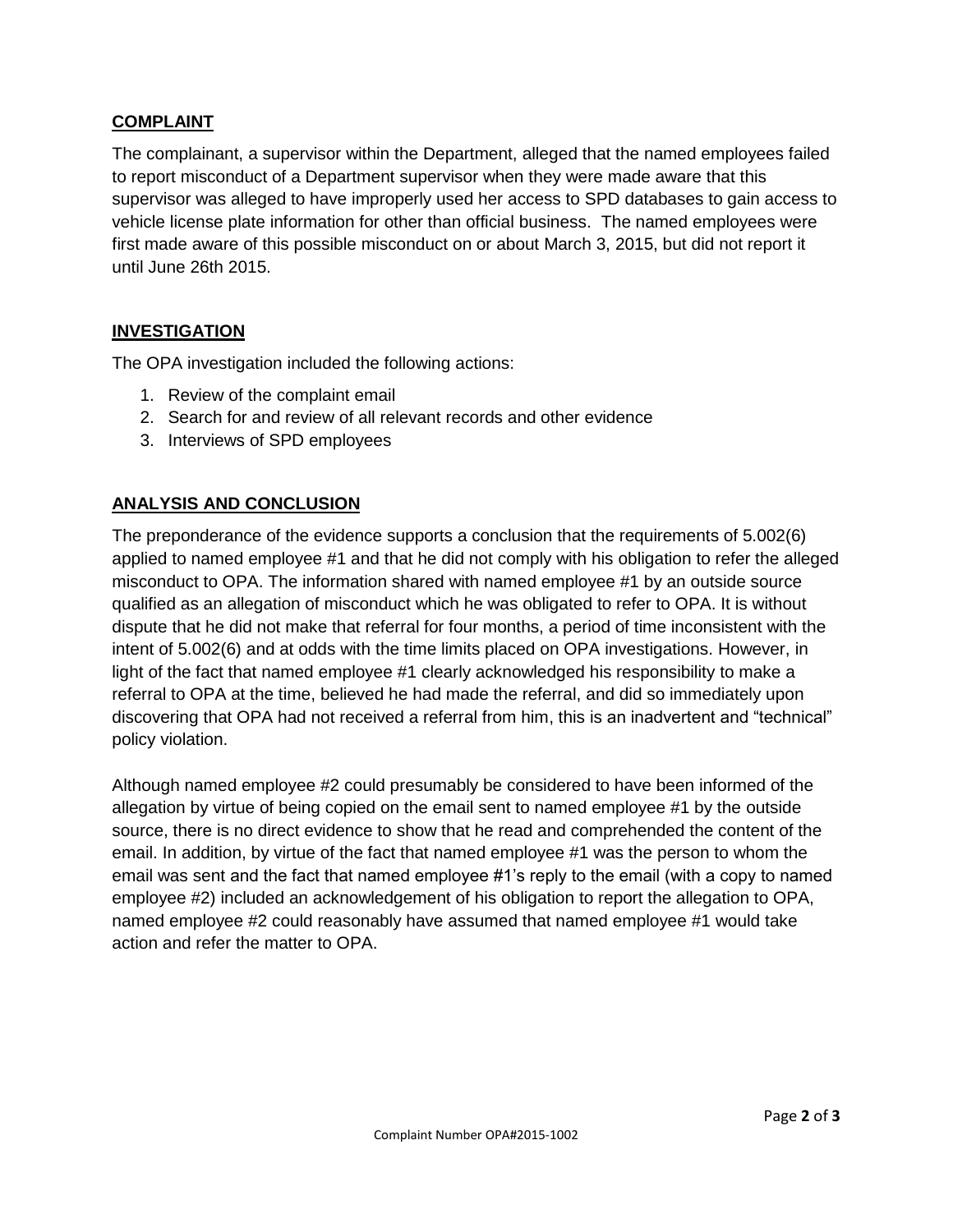### **COMPLAINT**

The complainant, a supervisor within the Department, alleged that the named employees failed to report misconduct of a Department supervisor when they were made aware that this supervisor was alleged to have improperly used her access to SPD databases to gain access to vehicle license plate information for other than official business. The named employees were first made aware of this possible misconduct on or about March 3, 2015, but did not report it until June 26th 2015.

#### **INVESTIGATION**

The OPA investigation included the following actions:

- 1. Review of the complaint email
- 2. Search for and review of all relevant records and other evidence
- 3. Interviews of SPD employees

## **ANALYSIS AND CONCLUSION**

The preponderance of the evidence supports a conclusion that the requirements of 5.002(6) applied to named employee #1 and that he did not comply with his obligation to refer the alleged misconduct to OPA. The information shared with named employee #1 by an outside source qualified as an allegation of misconduct which he was obligated to refer to OPA. It is without dispute that he did not make that referral for four months, a period of time inconsistent with the intent of 5.002(6) and at odds with the time limits placed on OPA investigations. However, in light of the fact that named employee #1 clearly acknowledged his responsibility to make a referral to OPA at the time, believed he had made the referral, and did so immediately upon discovering that OPA had not received a referral from him, this is an inadvertent and "technical" policy violation.

Although named employee #2 could presumably be considered to have been informed of the allegation by virtue of being copied on the email sent to named employee #1 by the outside source, there is no direct evidence to show that he read and comprehended the content of the email. In addition, by virtue of the fact that named employee #1 was the person to whom the email was sent and the fact that named employee #1's reply to the email (with a copy to named employee #2) included an acknowledgement of his obligation to report the allegation to OPA, named employee #2 could reasonably have assumed that named employee #1 would take action and refer the matter to OPA.